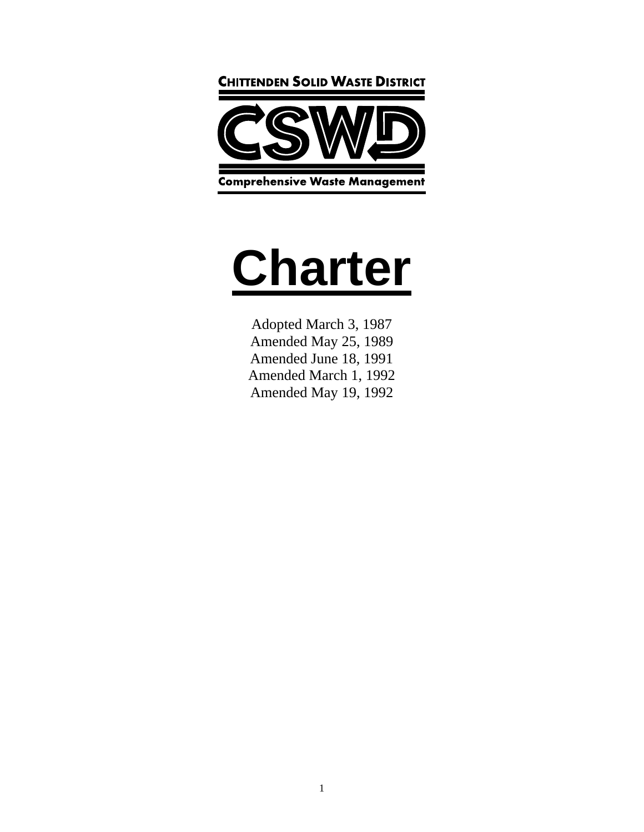

# **Charter**

Adopted March 3, 1987 Amended May 25, 1989 Amended June 18, 1991 Amended March 1, 1992 Amended May 19, 1992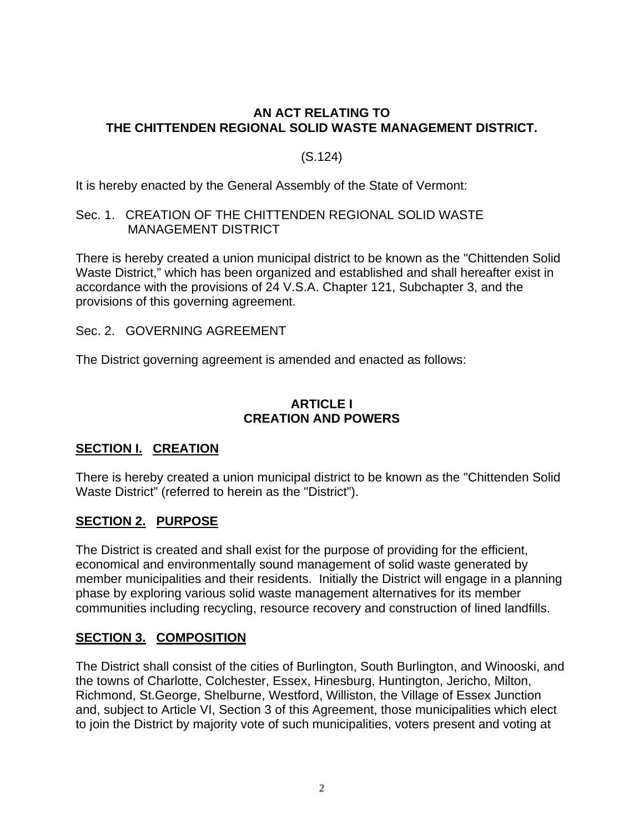#### **AN ACT RELATING TO THE CHITTENDEN REGIONAL SOLID WASTE MANAGEMENT DISTRICT.**

#### (S.124)

It is hereby enacted by the General Assembly of the State of Vermont:

#### Sec. 1. CREATION OF THE CHITTENDEN REGIONAL SOLID WASTE MANAGEMENT DISTRICT

There is hereby created a union municipal district to be known as the "Chittenden Solid Waste District," which has been organized and established and shall hereafter exist in accordance with the provisions of 24 V.S.A. Chapter 121, Subchapter 3, and the provisions of this governing agreement.

Sec. 2. GOVERNING AGREEMENT

The District governing agreement is amended and enacted as follows:

#### **ARTICLE I CREATION AND POWERS**

# **SECTION I. CREATION**

There is hereby created a union municipal district to be known as the "Chittenden Solid Waste District" (referred to herein as the "District").

#### **SECTION 2. PURPOSE**

The District is created and shall exist for the purpose of providing for the efficient, economical and environmentally sound management of solid waste generated by member municipalities and their residents. Initially the District will engage in a planning phase by exploring various solid waste management alternatives for its member communities including recycling, resource recovery and construction of lined landfills.

#### **SECTION 3. COMPOSITION**

The District shall consist of the cities of Burlington, South Burlington, and Winooski, and the towns of Charlotte, Colchester, Essex, Hinesburg, Huntington, Jericho, Milton, Richmond, St.George, Shelburne, Westford, Williston, the Village of Essex Junction and, subject to Article VI, Section 3 of this Agreement, those municipalities which elect to join the District by majority vote of such municipalities, voters present and voting at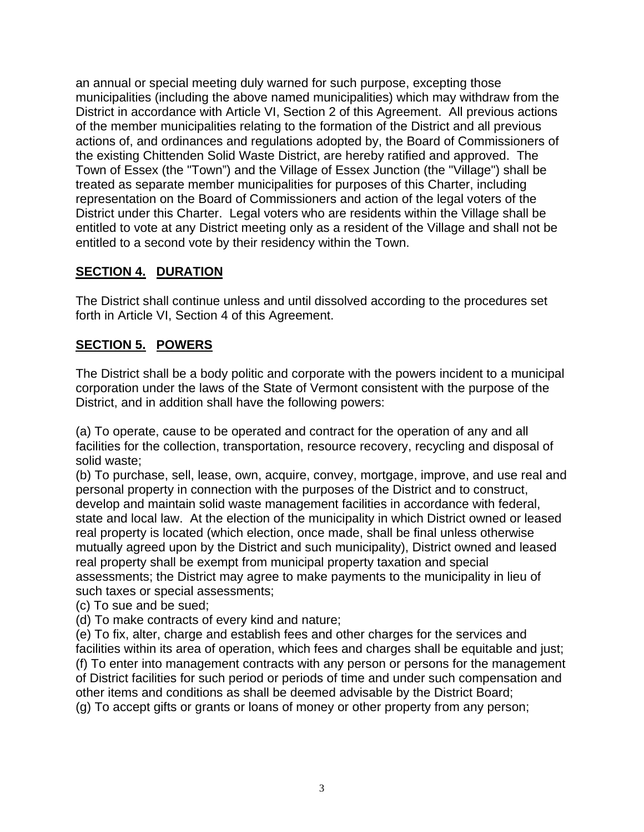an annual or special meeting duly warned for such purpose, excepting those municipalities (including the above named municipalities) which may withdraw from the District in accordance with Article VI, Section 2 of this Agreement. All previous actions of the member municipalities relating to the formation of the District and all previous actions of, and ordinances and regulations adopted by, the Board of Commissioners of the existing Chittenden Solid Waste District, are hereby ratified and approved. The Town of Essex (the "Town") and the Village of Essex Junction (the "Village") shall be treated as separate member municipalities for purposes of this Charter, including representation on the Board of Commissioners and action of the legal voters of the District under this Charter. Legal voters who are residents within the Village shall be entitled to vote at any District meeting only as a resident of the Village and shall not be entitled to a second vote by their residency within the Town.

#### **SECTION 4. DURATION**

The District shall continue unless and until dissolved according to the procedures set forth in Article VI, Section 4 of this Agreement.

# **SECTION 5. POWERS**

The District shall be a body politic and corporate with the powers incident to a municipal corporation under the laws of the State of Vermont consistent with the purpose of the District, and in addition shall have the following powers:

(a) To operate, cause to be operated and contract for the operation of any and all facilities for the collection, transportation, resource recovery, recycling and disposal of solid waste;

(b) To purchase, sell, lease, own, acquire, convey, mortgage, improve, and use real and personal property in connection with the purposes of the District and to construct, develop and maintain solid waste management facilities in accordance with federal, state and local law. At the election of the municipality in which District owned or leased real property is located (which election, once made, shall be final unless otherwise mutually agreed upon by the District and such municipality), District owned and leased real property shall be exempt from municipal property taxation and special assessments; the District may agree to make payments to the municipality in lieu of such taxes or special assessments;

(c) To sue and be sued;

(d) To make contracts of every kind and nature;

(e) To fix, alter, charge and establish fees and other charges for the services and facilities within its area of operation, which fees and charges shall be equitable and just; (f) To enter into management contracts with any person or persons for the management of District facilities for such period or periods of time and under such compensation and other items and conditions as shall be deemed advisable by the District Board; (g) To accept gifts or grants or loans of money or other property from any person;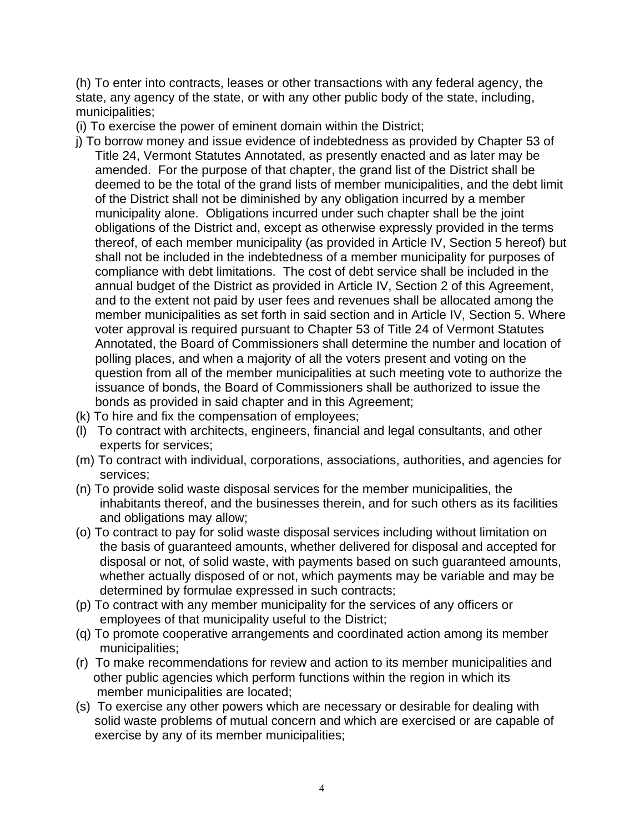(h) To enter into contracts, leases or other transactions with any federal agency, the state, any agency of the state, or with any other public body of the state, including, municipalities;

(i) To exercise the power of eminent domain within the District;

- j) To borrow money and issue evidence of indebtedness as provided by Chapter 53 of Title 24, Vermont Statutes Annotated, as presently enacted and as later may be amended. For the purpose of that chapter, the grand list of the District shall be deemed to be the total of the grand lists of member municipalities, and the debt limit of the District shall not be diminished by any obligation incurred by a member municipality alone. Obligations incurred under such chapter shall be the joint obligations of the District and, except as otherwise expressly provided in the terms thereof, of each member municipality (as provided in Article IV, Section 5 hereof) but shall not be included in the indebtedness of a member municipality for purposes of compliance with debt limitations. The cost of debt service shall be included in the annual budget of the District as provided in Article IV, Section 2 of this Agreement, and to the extent not paid by user fees and revenues shall be allocated among the member municipalities as set forth in said section and in Article IV, Section 5. Where voter approval is required pursuant to Chapter 53 of Title 24 of Vermont Statutes Annotated, the Board of Commissioners shall determine the number and location of polling places, and when a majority of all the voters present and voting on the question from all of the member municipalities at such meeting vote to authorize the issuance of bonds, the Board of Commissioners shall be authorized to issue the bonds as provided in said chapter and in this Agreement;
- (k) To hire and fix the compensation of employees;
- (l) To contract with architects, engineers, financial and legal consultants, and other experts for services;
- (m) To contract with individual, corporations, associations, authorities, and agencies for services;
- (n) To provide solid waste disposal services for the member municipalities, the inhabitants thereof, and the businesses therein, and for such others as its facilities and obligations may allow;
- (o) To contract to pay for solid waste disposal services including without limitation on the basis of guaranteed amounts, whether delivered for disposal and accepted for disposal or not, of solid waste, with payments based on such guaranteed amounts, whether actually disposed of or not, which payments may be variable and may be determined by formulae expressed in such contracts;
- (p) To contract with any member municipality for the services of any officers or employees of that municipality useful to the District;
- (q) To promote cooperative arrangements and coordinated action among its member municipalities;
- (r) To make recommendations for review and action to its member municipalities and other public agencies which perform functions within the region in which its member municipalities are located;
- (s) To exercise any other powers which are necessary or desirable for dealing with solid waste problems of mutual concern and which are exercised or are capable of exercise by any of its member municipalities;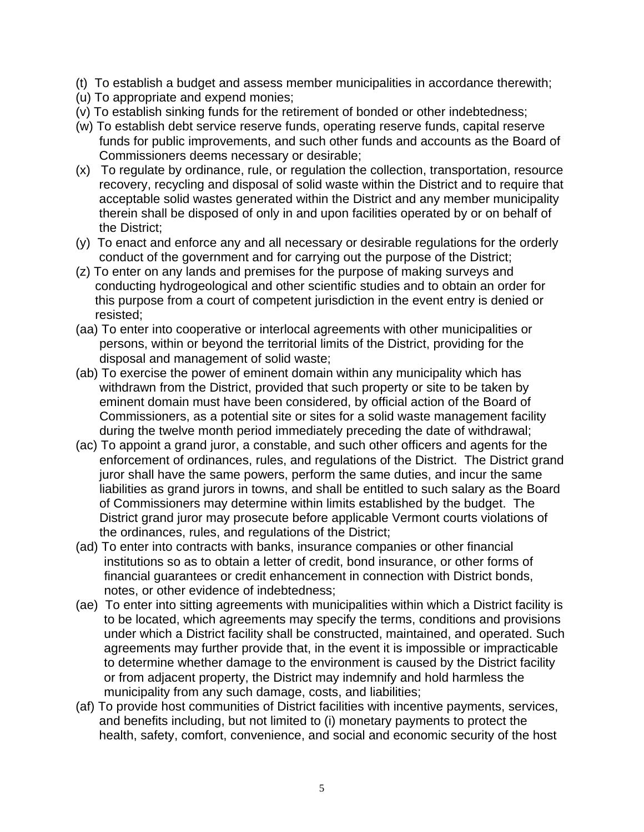- (t) To establish a budget and assess member municipalities in accordance therewith;
- (u) To appropriate and expend monies;
- (v) To establish sinking funds for the retirement of bonded or other indebtedness;
- (w) To establish debt service reserve funds, operating reserve funds, capital reserve funds for public improvements, and such other funds and accounts as the Board of Commissioners deems necessary or desirable;
- (x) To regulate by ordinance, rule, or regulation the collection, transportation, resource recovery, recycling and disposal of solid waste within the District and to require that acceptable solid wastes generated within the District and any member municipality therein shall be disposed of only in and upon facilities operated by or on behalf of the District;
- (y) To enact and enforce any and all necessary or desirable regulations for the orderly conduct of the government and for carrying out the purpose of the District;
- (z) To enter on any lands and premises for the purpose of making surveys and conducting hydrogeological and other scientific studies and to obtain an order for this purpose from a court of competent jurisdiction in the event entry is denied or resisted;
- (aa) To enter into cooperative or interlocal agreements with other municipalities or persons, within or beyond the territorial limits of the District, providing for the disposal and management of solid waste;
- (ab) To exercise the power of eminent domain within any municipality which has withdrawn from the District, provided that such property or site to be taken by eminent domain must have been considered, by official action of the Board of Commissioners, as a potential site or sites for a solid waste management facility during the twelve month period immediately preceding the date of withdrawal;
- (ac) To appoint a grand juror, a constable, and such other officers and agents for the enforcement of ordinances, rules, and regulations of the District. The District grand juror shall have the same powers, perform the same duties, and incur the same liabilities as grand jurors in towns, and shall be entitled to such salary as the Board of Commissioners may determine within limits established by the budget. The District grand juror may prosecute before applicable Vermont courts violations of the ordinances, rules, and regulations of the District;
- (ad) To enter into contracts with banks, insurance companies or other financial institutions so as to obtain a letter of credit, bond insurance, or other forms of financial guarantees or credit enhancement in connection with District bonds, notes, or other evidence of indebtedness;
- (ae) To enter into sitting agreements with municipalities within which a District facility is to be located, which agreements may specify the terms, conditions and provisions under which a District facility shall be constructed, maintained, and operated. Such agreements may further provide that, in the event it is impossible or impracticable to determine whether damage to the environment is caused by the District facility or from adjacent property, the District may indemnify and hold harmless the municipality from any such damage, costs, and liabilities;
- (af) To provide host communities of District facilities with incentive payments, services, and benefits including, but not limited to (i) monetary payments to protect the health, safety, comfort, convenience, and social and economic security of the host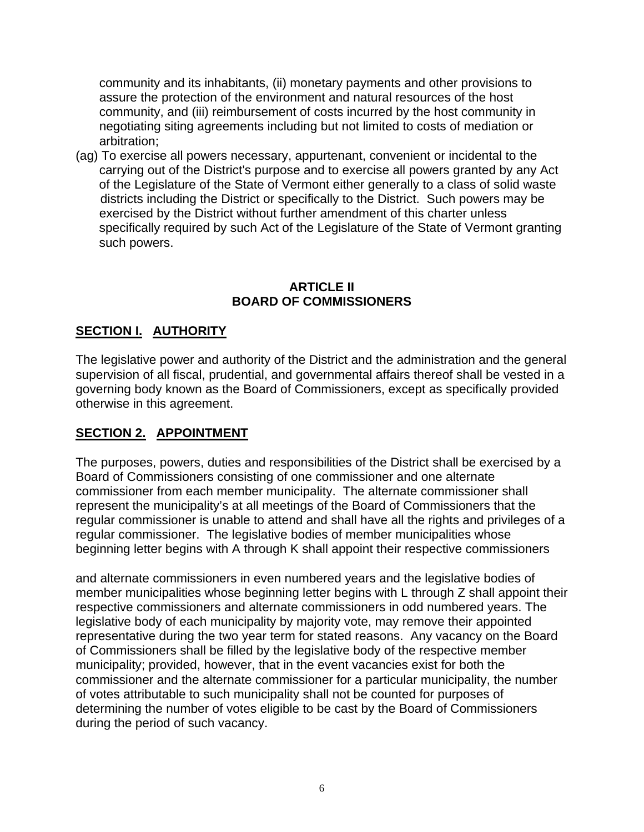community and its inhabitants, (ii) monetary payments and other provisions to assure the protection of the environment and natural resources of the host community, and (iii) reimbursement of costs incurred by the host community in negotiating siting agreements including but not limited to costs of mediation or arbitration;

(ag) To exercise all powers necessary, appurtenant, convenient or incidental to the carrying out of the District's purpose and to exercise all powers granted by any Act of the Legislature of the State of Vermont either generally to a class of solid waste districts including the District or specifically to the District. Such powers may be exercised by the District without further amendment of this charter unless specifically required by such Act of the Legislature of the State of Vermont granting such powers.

#### **ARTICLE II BOARD OF COMMISSIONERS**

# **SECTION I. AUTHORITY**

The legislative power and authority of the District and the administration and the general supervision of all fiscal, prudential, and governmental affairs thereof shall be vested in a governing body known as the Board of Commissioners, except as specifically provided otherwise in this agreement.

#### **SECTION 2. APPOINTMENT**

The purposes, powers, duties and responsibilities of the District shall be exercised by a Board of Commissioners consisting of one commissioner and one alternate commissioner from each member municipality. The alternate commissioner shall represent the municipality's at all meetings of the Board of Commissioners that the regular commissioner is unable to attend and shall have all the rights and privileges of a regular commissioner. The legislative bodies of member municipalities whose beginning letter begins with A through K shall appoint their respective commissioners

and alternate commissioners in even numbered years and the legislative bodies of member municipalities whose beginning letter begins with L through Z shall appoint their respective commissioners and alternate commissioners in odd numbered years. The legislative body of each municipality by majority vote, may remove their appointed representative during the two year term for stated reasons. Any vacancy on the Board of Commissioners shall be filled by the legislative body of the respective member municipality; provided, however, that in the event vacancies exist for both the commissioner and the alternate commissioner for a particular municipality, the number of votes attributable to such municipality shall not be counted for purposes of determining the number of votes eligible to be cast by the Board of Commissioners during the period of such vacancy.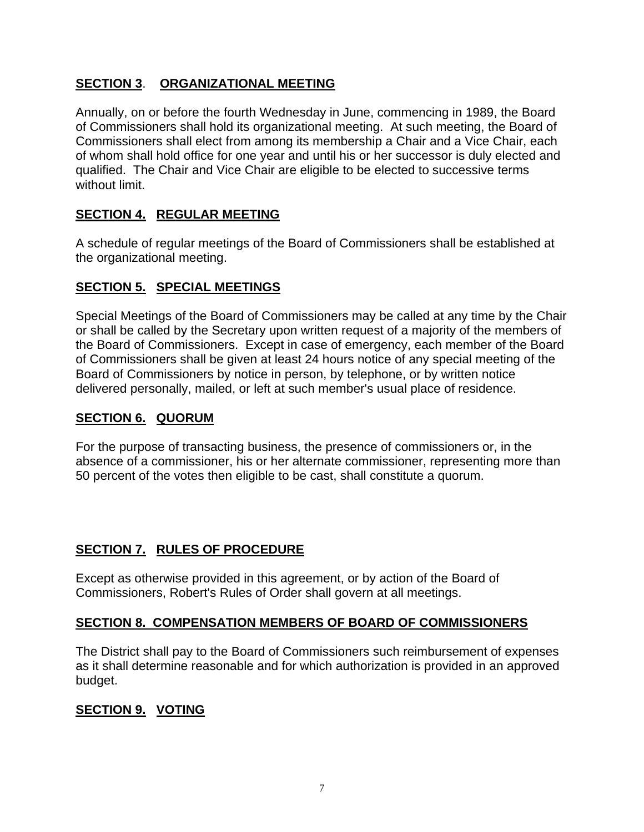#### **SECTION 3**. **ORGANIZATIONAL MEETING**

Annually, on or before the fourth Wednesday in June, commencing in 1989, the Board of Commissioners shall hold its organizational meeting.At such meeting, the Board of Commissioners shall elect from among its membership a Chair and a Vice Chair, each of whom shall hold office for one year and until his or her successor is duly elected and qualified. The Chair and Vice Chair are eligible to be elected to successive terms without limit.

#### **SECTION 4. REGULAR MEETING**

A schedule of regular meetings of the Board of Commissioners shall be established at the organizational meeting.

#### **SECTION 5. SPECIAL MEETINGS**

Special Meetings of the Board of Commissioners may be called at any time by the Chair or shall be called by the Secretary upon written request of a majority of the members of the Board of Commissioners. Except in case of emergency, each member of the Board of Commissioners shall be given at least 24 hours notice of any special meeting of the Board of Commissioners by notice in person, by telephone, or by written notice delivered personally, mailed, or left at such member's usual place of residence.

#### **SECTION 6. QUORUM**

For the purpose of transacting business, the presence of commissioners or, in the absence of a commissioner, his or her alternate commissioner, representing more than 50 percent of the votes then eligible to be cast, shall constitute a quorum.

#### **SECTION 7. RULES OF PROCEDURE**

Except as otherwise provided in this agreement, or by action of the Board of Commissioners, Robert's Rules of Order shall govern at all meetings.

#### **SECTION 8. COMPENSATION MEMBERS OF BOARD OF COMMISSIONERS**

The District shall pay to the Board of Commissioners such reimbursement of expenses as it shall determine reasonable and for which authorization is provided in an approved budget.

# **SECTION 9. VOTING**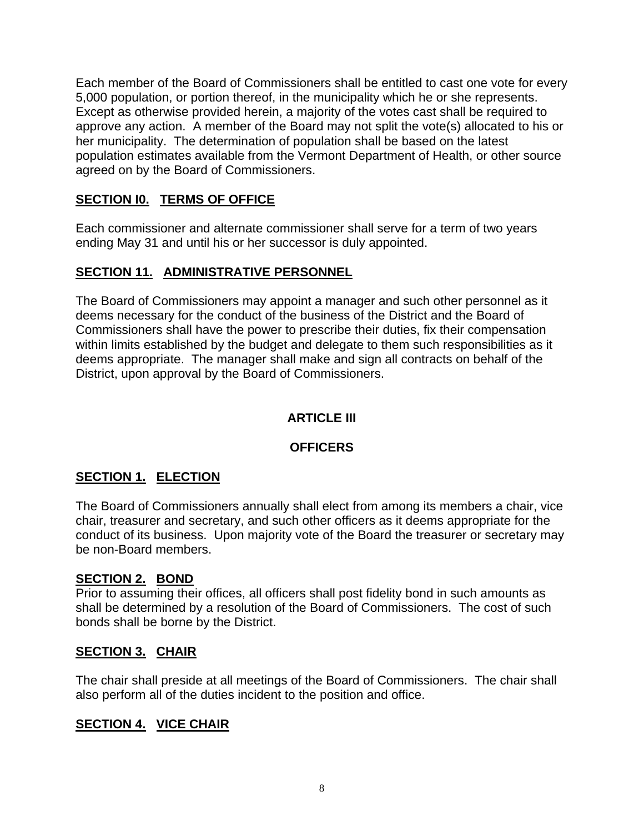Each member of the Board of Commissioners shall be entitled to cast one vote for every 5,000 population, or portion thereof, in the municipality which he or she represents. Except as otherwise provided herein, a majority of the votes cast shall be required to approve any action. A member of the Board may not split the vote(s) allocated to his or her municipality. The determination of population shall be based on the latest population estimates available from the Vermont Department of Health, or other source agreed on by the Board of Commissioners.

#### **SECTION I0. TERMS OF OFFICE**

Each commissioner and alternate commissioner shall serve for a term of two years ending May 31 and until his or her successor is duly appointed.

#### **SECTION 11. ADMINISTRATIVE PERSONNEL**

The Board of Commissioners may appoint a manager and such other personnel as it deems necessary for the conduct of the business of the District and the Board of Commissioners shall have the power to prescribe their duties, fix their compensation within limits established by the budget and delegate to them such responsibilities as it deems appropriate. The manager shall make and sign all contracts on behalf of the District, upon approval by the Board of Commissioners.

# **ARTICLE III**

#### **OFFICERS**

# **SECTION 1. ELECTION**

The Board of Commissioners annually shall elect from among its members a chair, vice chair, treasurer and secretary, and such other officers as it deems appropriate for the conduct of its business. Upon majority vote of the Board the treasurer or secretary may be non-Board members.

#### **SECTION 2. BOND**

Prior to assuming their offices, all officers shall post fidelity bond in such amounts as shall be determined by a resolution of the Board of Commissioners. The cost of such bonds shall be borne by the District.

#### **SECTION 3. CHAIR**

The chair shall preside at all meetings of the Board of Commissioners. The chair shall also perform all of the duties incident to the position and office.

# **SECTION 4. VICE CHAIR**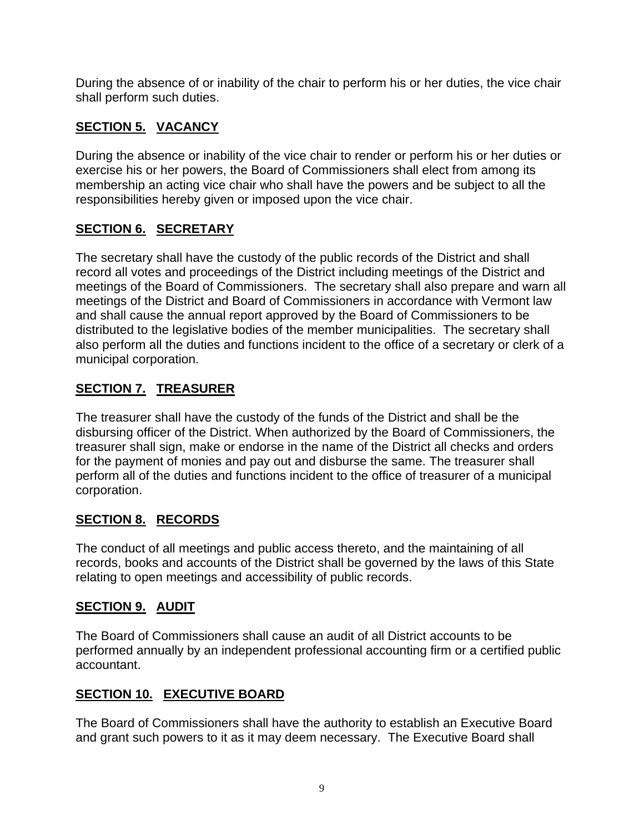During the absence of or inability of the chair to perform his or her duties, the vice chair shall perform such duties.

# **SECTION 5. VACANCY**

During the absence or inability of the vice chair to render or perform his or her duties or exercise his or her powers, the Board of Commissioners shall elect from among its membership an acting vice chair who shall have the powers and be subject to all the responsibilities hereby given or imposed upon the vice chair.

# **SECTION 6. SECRETARY**

The secretary shall have the custody of the public records of the District and shall record all votes and proceedings of the District including meetings of the District and meetings of the Board of Commissioners. The secretary shall also prepare and warn all meetings of the District and Board of Commissioners in accordance with Vermont law and shall cause the annual report approved by the Board of Commissioners to be distributed to the legislative bodies of the member municipalities. The secretary shall also perform all the duties and functions incident to the office of a secretary or clerk of a municipal corporation.

# **SECTION 7. TREASURER**

The treasurer shall have the custody of the funds of the District and shall be the disbursing officer of the District. When authorized by the Board of Commissioners, the treasurer shall sign, make or endorse in the name of the District all checks and orders for the payment of monies and pay out and disburse the same. The treasurer shall perform all of the duties and functions incident to the office of treasurer of a municipal corporation.

# **SECTION 8. RECORDS**

The conduct of all meetings and public access thereto, and the maintaining of all records, books and accounts of the District shall be governed by the laws of this State relating to open meetings and accessibility of public records.

# **SECTION 9. AUDIT**

The Board of Commissioners shall cause an audit of all District accounts to be performed annually by an independent professional accounting firm or a certified public accountant.

# **SECTION 10. EXECUTIVE BOARD**

The Board of Commissioners shall have the authority to establish an Executive Board and grant such powers to it as it may deem necessary. The Executive Board shall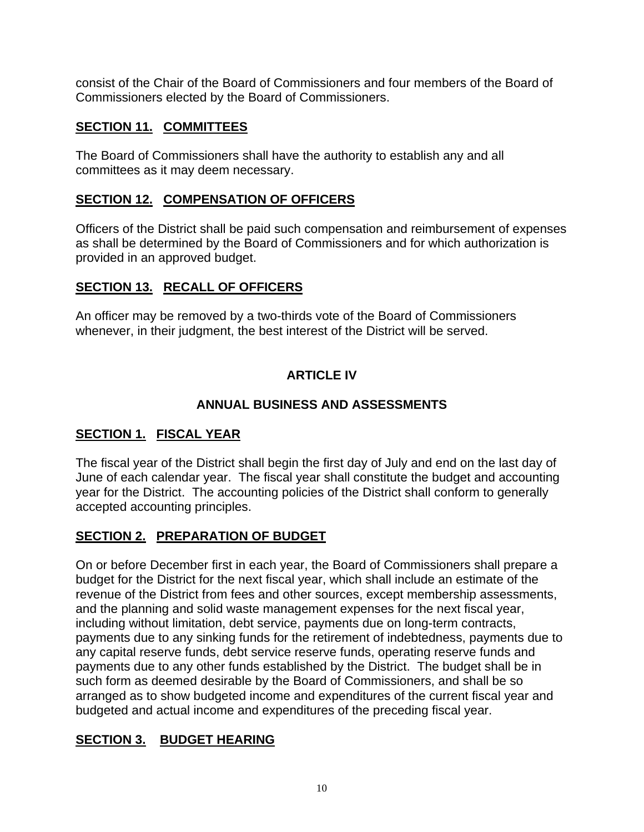consist of the Chair of the Board of Commissioners and four members of the Board of Commissioners elected by the Board of Commissioners.

# **SECTION 11. COMMITTEES**

The Board of Commissioners shall have the authority to establish any and all committees as it may deem necessary.

# **SECTION 12. COMPENSATION OF OFFICERS**

Officers of the District shall be paid such compensation and reimbursement of expenses as shall be determined by the Board of Commissioners and for which authorization is provided in an approved budget.

# **SECTION 13. RECALL OF OFFICERS**

An officer may be removed by a two-thirds vote of the Board of Commissioners whenever, in their judgment, the best interest of the District will be served.

# **ARTICLE IV**

# **ANNUAL BUSINESS AND ASSESSMENTS**

# **SECTION 1. FISCAL YEAR**

The fiscal year of the District shall begin the first day of July and end on the last day of June of each calendar year. The fiscal year shall constitute the budget and accounting year for the District. The accounting policies of the District shall conform to generally accepted accounting principles.

# **SECTION 2. PREPARATION OF BUDGET**

On or before December first in each year, the Board of Commissioners shall prepare a budget for the District for the next fiscal year, which shall include an estimate of the revenue of the District from fees and other sources, except membership assessments, and the planning and solid waste management expenses for the next fiscal year, including without limitation, debt service, payments due on long-term contracts, payments due to any sinking funds for the retirement of indebtedness, payments due to any capital reserve funds, debt service reserve funds, operating reserve funds and payments due to any other funds established by the District. The budget shall be in such form as deemed desirable by the Board of Commissioners, and shall be so arranged as to show budgeted income and expenditures of the current fiscal year and budgeted and actual income and expenditures of the preceding fiscal year.

# **SECTION 3. BUDGET HEARING**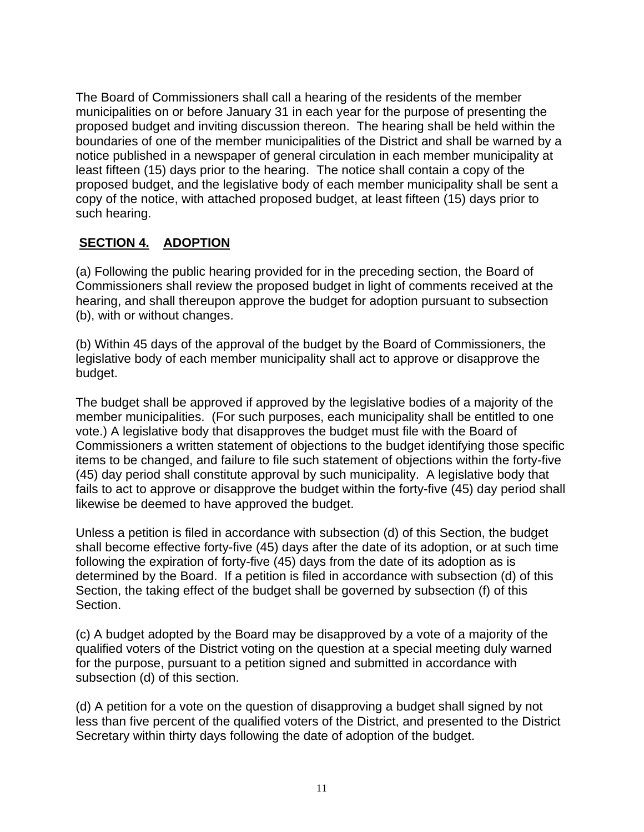The Board of Commissioners shall call a hearing of the residents of the member municipalities on or before January 31 in each year for the purpose of presenting the proposed budget and inviting discussion thereon. The hearing shall be held within the boundaries of one of the member municipalities of the District and shall be warned by a notice published in a newspaper of general circulation in each member municipality at least fifteen (15) days prior to the hearing. The notice shall contain a copy of the proposed budget, and the legislative body of each member municipality shall be sent a copy of the notice, with attached proposed budget, at least fifteen (15) days prior to such hearing.

#### **SECTION 4. ADOPTION**

(a) Following the public hearing provided for in the preceding section, the Board of Commissioners shall review the proposed budget in light of comments received at the hearing, and shall thereupon approve the budget for adoption pursuant to subsection (b), with or without changes.

(b) Within 45 days of the approval of the budget by the Board of Commissioners, the legislative body of each member municipality shall act to approve or disapprove the budget.

The budget shall be approved if approved by the legislative bodies of a majority of the member municipalities. (For such purposes, each municipality shall be entitled to one vote.) A legislative body that disapproves the budget must file with the Board of Commissioners a written statement of objections to the budget identifying those specific items to be changed, and failure to file such statement of objections within the forty-five (45) day period shall constitute approval by such municipality. A legislative body that fails to act to approve or disapprove the budget within the forty-five (45) day period shall likewise be deemed to have approved the budget.

Unless a petition is filed in accordance with subsection (d) of this Section, the budget shall become effective forty-five (45) days after the date of its adoption, or at such time following the expiration of forty-five (45) days from the date of its adoption as is determined by the Board. If a petition is filed in accordance with subsection (d) of this Section, the taking effect of the budget shall be governed by subsection (f) of this Section.

(c) A budget adopted by the Board may be disapproved by a vote of a majority of the qualified voters of the District voting on the question at a special meeting duly warned for the purpose, pursuant to a petition signed and submitted in accordance with subsection (d) of this section.

(d) A petition for a vote on the question of disapproving a budget shall signed by not less than five percent of the qualified voters of the District, and presented to the District Secretary within thirty days following the date of adoption of the budget.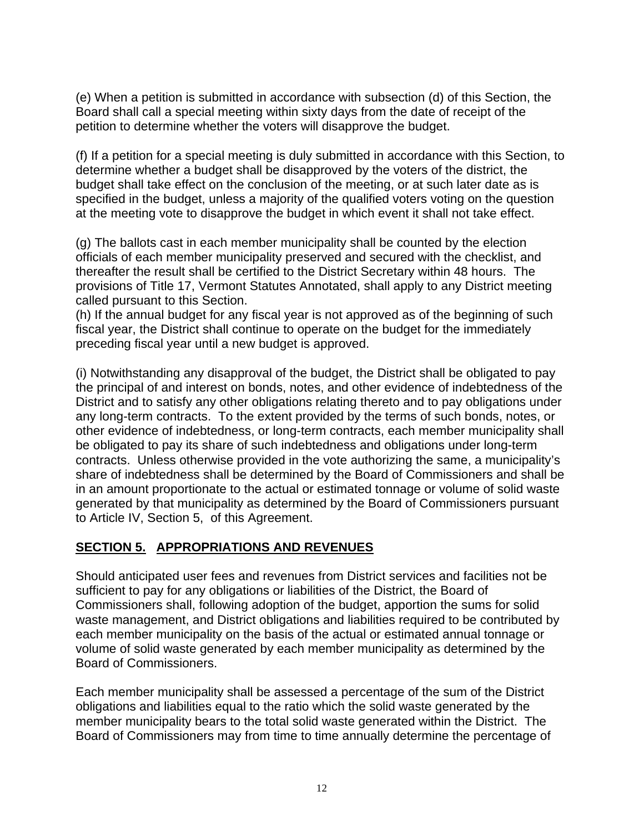(e) When a petition is submitted in accordance with subsection (d) of this Section, the Board shall call a special meeting within sixty days from the date of receipt of the petition to determine whether the voters will disapprove the budget.

(f) If a petition for a special meeting is duly submitted in accordance with this Section, to determine whether a budget shall be disapproved by the voters of the district, the budget shall take effect on the conclusion of the meeting, or at such later date as is specified in the budget, unless a majority of the qualified voters voting on the question at the meeting vote to disapprove the budget in which event it shall not take effect.

(g) The ballots cast in each member municipality shall be counted by the election officials of each member municipality preserved and secured with the checklist, and thereafter the result shall be certified to the District Secretary within 48 hours. The provisions of Title 17, Vermont Statutes Annotated, shall apply to any District meeting called pursuant to this Section.

(h) If the annual budget for any fiscal year is not approved as of the beginning of such fiscal year, the District shall continue to operate on the budget for the immediately preceding fiscal year until a new budget is approved.

(i) Notwithstanding any disapproval of the budget, the District shall be obligated to pay the principal of and interest on bonds, notes, and other evidence of indebtedness of the District and to satisfy any other obligations relating thereto and to pay obligations under any long-term contracts. To the extent provided by the terms of such bonds, notes, or other evidence of indebtedness, or long-term contracts, each member municipality shall be obligated to pay its share of such indebtedness and obligations under long-term contracts. Unless otherwise provided in the vote authorizing the same, a municipality's share of indebtedness shall be determined by the Board of Commissioners and shall be in an amount proportionate to the actual or estimated tonnage or volume of solid waste generated by that municipality as determined by the Board of Commissioners pursuant to Article IV, Section 5, of this Agreement.

#### **SECTION 5. APPROPRIATIONS AND REVENUES**

Should anticipated user fees and revenues from District services and facilities not be sufficient to pay for any obligations or liabilities of the District, the Board of Commissioners shall, following adoption of the budget, apportion the sums for solid waste management, and District obligations and liabilities required to be contributed by each member municipality on the basis of the actual or estimated annual tonnage or volume of solid waste generated by each member municipality as determined by the Board of Commissioners.

Each member municipality shall be assessed a percentage of the sum of the District obligations and liabilities equal to the ratio which the solid waste generated by the member municipality bears to the total solid waste generated within the District. The Board of Commissioners may from time to time annually determine the percentage of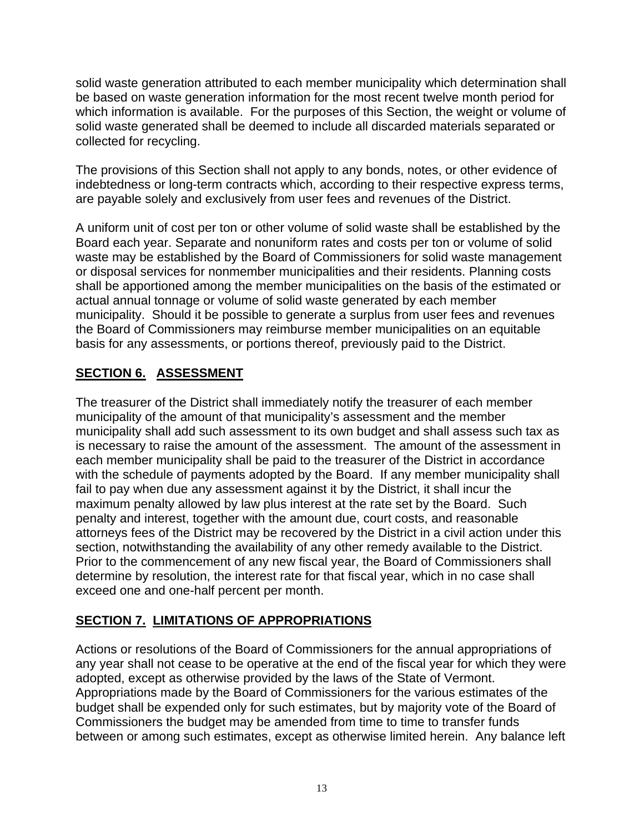solid waste generation attributed to each member municipality which determination shall be based on waste generation information for the most recent twelve month period for which information is available. For the purposes of this Section, the weight or volume of solid waste generated shall be deemed to include all discarded materials separated or collected for recycling.

The provisions of this Section shall not apply to any bonds, notes, or other evidence of indebtedness or long-term contracts which, according to their respective express terms, are payable solely and exclusively from user fees and revenues of the District.

A uniform unit of cost per ton or other volume of solid waste shall be established by the Board each year. Separate and nonuniform rates and costs per ton or volume of solid waste may be established by the Board of Commissioners for solid waste management or disposal services for nonmember municipalities and their residents. Planning costs shall be apportioned among the member municipalities on the basis of the estimated or actual annual tonnage or volume of solid waste generated by each member municipality. Should it be possible to generate a surplus from user fees and revenues the Board of Commissioners may reimburse member municipalities on an equitable basis for any assessments, or portions thereof, previously paid to the District.

#### **SECTION 6. ASSESSMENT**

The treasurer of the District shall immediately notify the treasurer of each member municipality of the amount of that municipality's assessment and the member municipality shall add such assessment to its own budget and shall assess such tax as is necessary to raise the amount of the assessment. The amount of the assessment in each member municipality shall be paid to the treasurer of the District in accordance with the schedule of payments adopted by the Board. If any member municipality shall fail to pay when due any assessment against it by the District, it shall incur the maximum penalty allowed by law plus interest at the rate set by the Board. Such penalty and interest, together with the amount due, court costs, and reasonable attorneys fees of the District may be recovered by the District in a civil action under this section, notwithstanding the availability of any other remedy available to the District. Prior to the commencement of any new fiscal year, the Board of Commissioners shall determine by resolution, the interest rate for that fiscal year, which in no case shall exceed one and one-half percent per month.

#### **SECTION 7. LIMITATIONS OF APPROPRIATIONS**

Actions or resolutions of the Board of Commissioners for the annual appropriations of any year shall not cease to be operative at the end of the fiscal year for which they were adopted, except as otherwise provided by the laws of the State of Vermont. Appropriations made by the Board of Commissioners for the various estimates of the budget shall be expended only for such estimates, but by majority vote of the Board of Commissioners the budget may be amended from time to time to transfer funds between or among such estimates, except as otherwise limited herein. Any balance left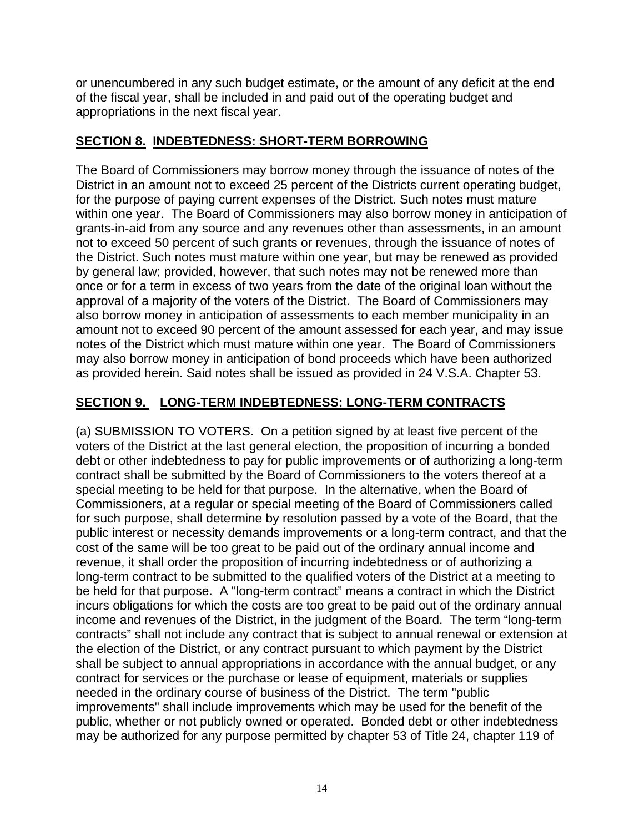or unencumbered in any such budget estimate, or the amount of any deficit at the end of the fiscal year, shall be included in and paid out of the operating budget and appropriations in the next fiscal year.

#### **SECTION 8. INDEBTEDNESS: SHORT-TERM BORROWING**

The Board of Commissioners may borrow money through the issuance of notes of the District in an amount not to exceed 25 percent of the Districts current operating budget, for the purpose of paying current expenses of the District. Such notes must mature within one year. The Board of Commissioners may also borrow money in anticipation of grants-in-aid from any source and any revenues other than assessments, in an amount not to exceed 50 percent of such grants or revenues, through the issuance of notes of the District. Such notes must mature within one year, but may be renewed as provided by general law; provided, however, that such notes may not be renewed more than once or for a term in excess of two years from the date of the original loan without the approval of a majority of the voters of the District. The Board of Commissioners may also borrow money in anticipation of assessments to each member municipality in an amount not to exceed 90 percent of the amount assessed for each year, and may issue notes of the District which must mature within one year. The Board of Commissioners may also borrow money in anticipation of bond proceeds which have been authorized as provided herein. Said notes shall be issued as provided in 24 V.S.A. Chapter 53.

#### **SECTION 9. LONG-TERM INDEBTEDNESS: LONG-TERM CONTRACTS**

(a) SUBMISSION TO VOTERS. On a petition signed by at least five percent of the voters of the District at the last general election, the proposition of incurring a bonded debt or other indebtedness to pay for public improvements or of authorizing a long-term contract shall be submitted by the Board of Commissioners to the voters thereof at a special meeting to be held for that purpose. In the alternative, when the Board of Commissioners, at a regular or special meeting of the Board of Commissioners called for such purpose, shall determine by resolution passed by a vote of the Board, that the public interest or necessity demands improvements or a long-term contract, and that the cost of the same will be too great to be paid out of the ordinary annual income and revenue, it shall order the proposition of incurring indebtedness or of authorizing a long-term contract to be submitted to the qualified voters of the District at a meeting to be held for that purpose. A "long-term contract" means a contract in which the District incurs obligations for which the costs are too great to be paid out of the ordinary annual income and revenues of the District, in the judgment of the Board. The term "long-term contracts" shall not include any contract that is subject to annual renewal or extension at the election of the District, or any contract pursuant to which payment by the District shall be subject to annual appropriations in accordance with the annual budget, or any contract for services or the purchase or lease of equipment, materials or supplies needed in the ordinary course of business of the District. The term "public improvements" shall include improvements which may be used for the benefit of the public, whether or not publicly owned or operated. Bonded debt or other indebtedness may be authorized for any purpose permitted by chapter 53 of Title 24, chapter 119 of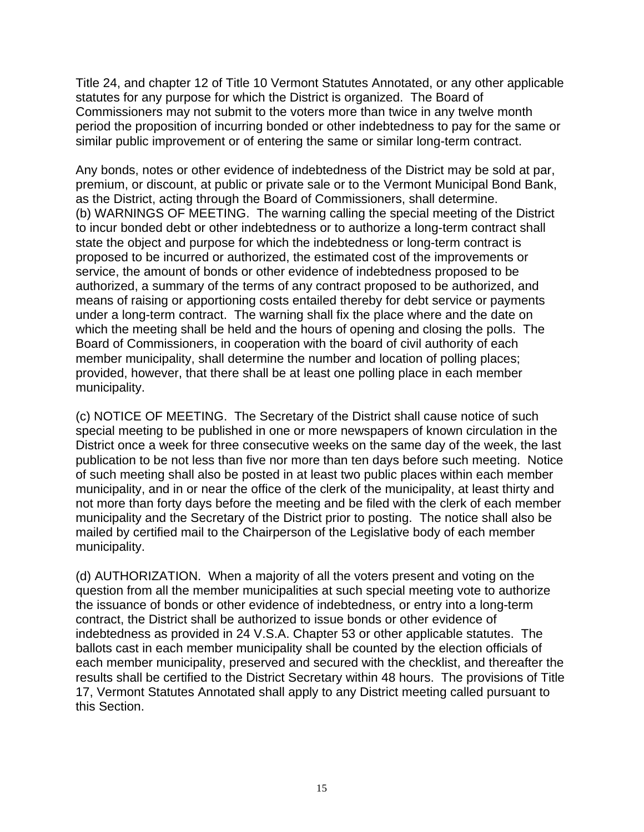Title 24, and chapter 12 of Title 10 Vermont Statutes Annotated, or any other applicable statutes for any purpose for which the District is organized. The Board of Commissioners may not submit to the voters more than twice in any twelve month period the proposition of incurring bonded or other indebtedness to pay for the same or similar public improvement or of entering the same or similar long-term contract.

Any bonds, notes or other evidence of indebtedness of the District may be sold at par, premium, or discount, at public or private sale or to the Vermont Municipal Bond Bank, as the District, acting through the Board of Commissioners, shall determine. (b) WARNINGS OF MEETING. The warning calling the special meeting of the District to incur bonded debt or other indebtedness or to authorize a long-term contract shall state the object and purpose for which the indebtedness or long-term contract is proposed to be incurred or authorized, the estimated cost of the improvements or service, the amount of bonds or other evidence of indebtedness proposed to be authorized, a summary of the terms of any contract proposed to be authorized, and means of raising or apportioning costs entailed thereby for debt service or payments under a long-term contract. The warning shall fix the place where and the date on which the meeting shall be held and the hours of opening and closing the polls. The Board of Commissioners, in cooperation with the board of civil authority of each member municipality, shall determine the number and location of polling places; provided, however, that there shall be at least one polling place in each member municipality.

(c) NOTICE OF MEETING. The Secretary of the District shall cause notice of such special meeting to be published in one or more newspapers of known circulation in the District once a week for three consecutive weeks on the same day of the week, the last publication to be not less than five nor more than ten days before such meeting. Notice of such meeting shall also be posted in at least two public places within each member municipality, and in or near the office of the clerk of the municipality, at least thirty and not more than forty days before the meeting and be filed with the clerk of each member municipality and the Secretary of the District prior to posting. The notice shall also be mailed by certified mail to the Chairperson of the Legislative body of each member municipality.

(d) AUTHORIZATION. When a majority of all the voters present and voting on the question from all the member municipalities at such special meeting vote to authorize the issuance of bonds or other evidence of indebtedness, or entry into a long-term contract, the District shall be authorized to issue bonds or other evidence of indebtedness as provided in 24 V.S.A. Chapter 53 or other applicable statutes. The ballots cast in each member municipality shall be counted by the election officials of each member municipality, preserved and secured with the checklist, and thereafter the results shall be certified to the District Secretary within 48 hours. The provisions of Title 17, Vermont Statutes Annotated shall apply to any District meeting called pursuant to this Section.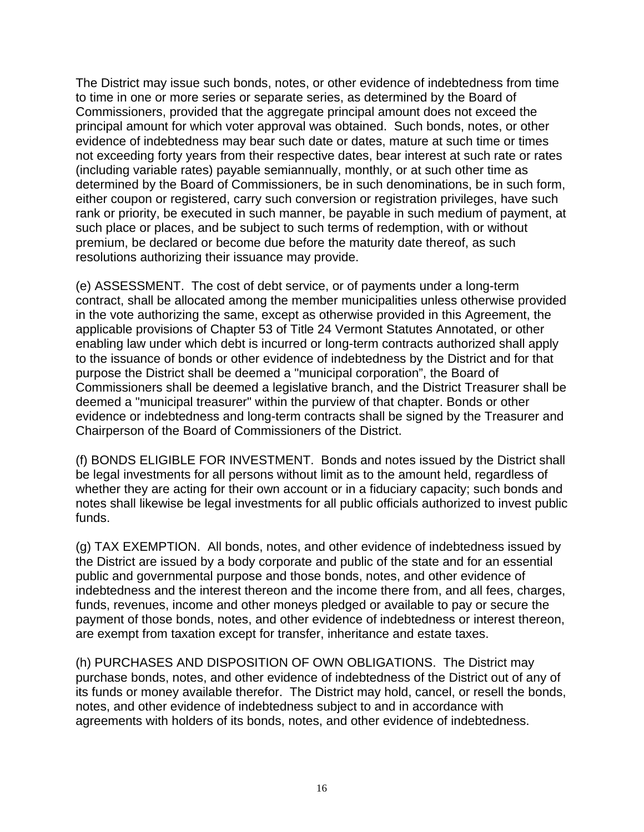The District may issue such bonds, notes, or other evidence of indebtedness from time to time in one or more series or separate series, as determined by the Board of Commissioners, provided that the aggregate principal amount does not exceed the principal amount for which voter approval was obtained. Such bonds, notes, or other evidence of indebtedness may bear such date or dates, mature at such time or times not exceeding forty years from their respective dates, bear interest at such rate or rates (including variable rates) payable semiannually, monthly, or at such other time as determined by the Board of Commissioners, be in such denominations, be in such form, either coupon or registered, carry such conversion or registration privileges, have such rank or priority, be executed in such manner, be payable in such medium of payment, at such place or places, and be subject to such terms of redemption, with or without premium, be declared or become due before the maturity date thereof, as such resolutions authorizing their issuance may provide.

(e) ASSESSMENT. The cost of debt service, or of payments under a long-term contract, shall be allocated among the member municipalities unless otherwise provided in the vote authorizing the same, except as otherwise provided in this Agreement, the applicable provisions of Chapter 53 of Title 24 Vermont Statutes Annotated, or other enabling law under which debt is incurred or long-term contracts authorized shall apply to the issuance of bonds or other evidence of indebtedness by the District and for that purpose the District shall be deemed a "municipal corporation", the Board of Commissioners shall be deemed a legislative branch, and the District Treasurer shall be deemed a "municipal treasurer" within the purview of that chapter. Bonds or other evidence or indebtedness and long-term contracts shall be signed by the Treasurer and Chairperson of the Board of Commissioners of the District.

(f) BONDS ELIGIBLE FOR INVESTMENT. Bonds and notes issued by the District shall be legal investments for all persons without limit as to the amount held, regardless of whether they are acting for their own account or in a fiduciary capacity; such bonds and notes shall likewise be legal investments for all public officials authorized to invest public funds.

(g) TAX EXEMPTION. All bonds, notes, and other evidence of indebtedness issued by the District are issued by a body corporate and public of the state and for an essential public and governmental purpose and those bonds, notes, and other evidence of indebtedness and the interest thereon and the income there from, and all fees, charges, funds, revenues, income and other moneys pledged or available to pay or secure the payment of those bonds, notes, and other evidence of indebtedness or interest thereon, are exempt from taxation except for transfer, inheritance and estate taxes.

(h) PURCHASES AND DISPOSITION OF OWN OBLIGATIONS. The District may purchase bonds, notes, and other evidence of indebtedness of the District out of any of its funds or money available therefor. The District may hold, cancel, or resell the bonds, notes, and other evidence of indebtedness subject to and in accordance with agreements with holders of its bonds, notes, and other evidence of indebtedness.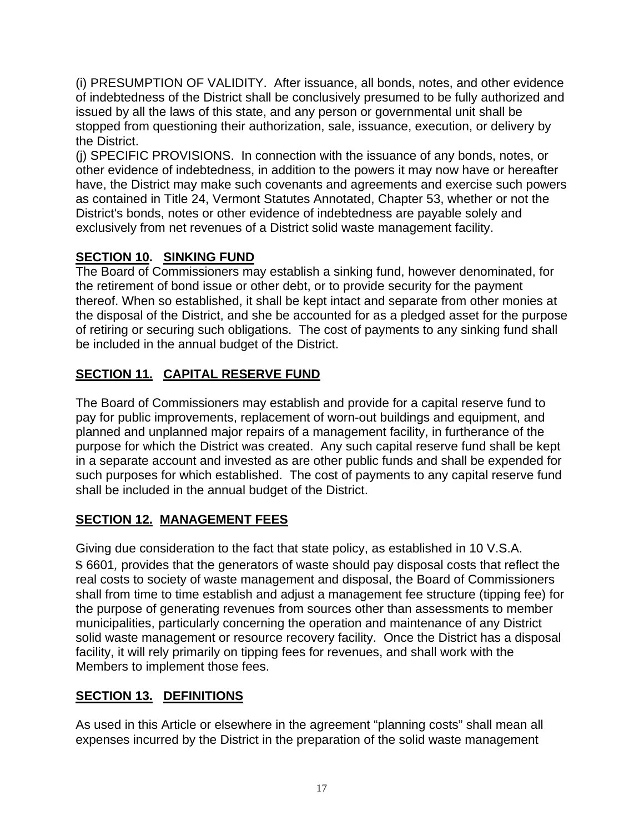(i) PRESUMPTION OF VALIDITY. After issuance, all bonds, notes, and other evidence of indebtedness of the District shall be conclusively presumed to be fully authorized and issued by all the laws of this state, and any person or governmental unit shall be stopped from questioning their authorization, sale, issuance, execution, or delivery by the District.

(j) SPECIFIC PROVISIONS. In connection with the issuance of any bonds, notes, or other evidence of indebtedness, in addition to the powers it may now have or hereafter have, the District may make such covenants and agreements and exercise such powers as contained in Title 24, Vermont Statutes Annotated, Chapter 53, whether or not the District's bonds, notes or other evidence of indebtedness are payable solely and exclusively from net revenues of a District solid waste management facility.

# **SECTION 10. SINKING FUND**

The Board of Commissioners may establish a sinking fund, however denominated, for the retirement of bond issue or other debt, or to provide security for the payment thereof. When so established, it shall be kept intact and separate from other monies at the disposal of the District, and she be accounted for as a pledged asset for the purpose of retiring or securing such obligations. The cost of payments to any sinking fund shall be included in the annual budget of the District.

# **SECTION 11. CAPITAL RESERVE FUND**

The Board of Commissioners may establish and provide for a capital reserve fund to pay for public improvements, replacement of worn-out buildings and equipment, and planned and unplanned major repairs of a management facility, in furtherance of the purpose for which the District was created. Any such capital reserve fund shall be kept in a separate account and invested as are other public funds and shall be expended for such purposes for which established. The cost of payments to any capital reserve fund shall be included in the annual budget of the District.

# **SECTION 12. MANAGEMENT FEES**

Giving due consideration to the fact that state policy, as established in 10 V.S.A. S 6601*,* provides that the generators of waste should pay disposal costs that reflect the real costs to society of waste management and disposal, the Board of Commissioners shall from time to time establish and adjust a management fee structure (tipping fee) for the purpose of generating revenues from sources other than assessments to member municipalities, particularly concerning the operation and maintenance of any District solid waste management or resource recovery facility. Once the District has a disposal facility, it will rely primarily on tipping fees for revenues, and shall work with the Members to implement those fees.

# **SECTION 13. DEFINITIONS**

As used in this Article or elsewhere in the agreement "planning costs" shall mean all expenses incurred by the District in the preparation of the solid waste management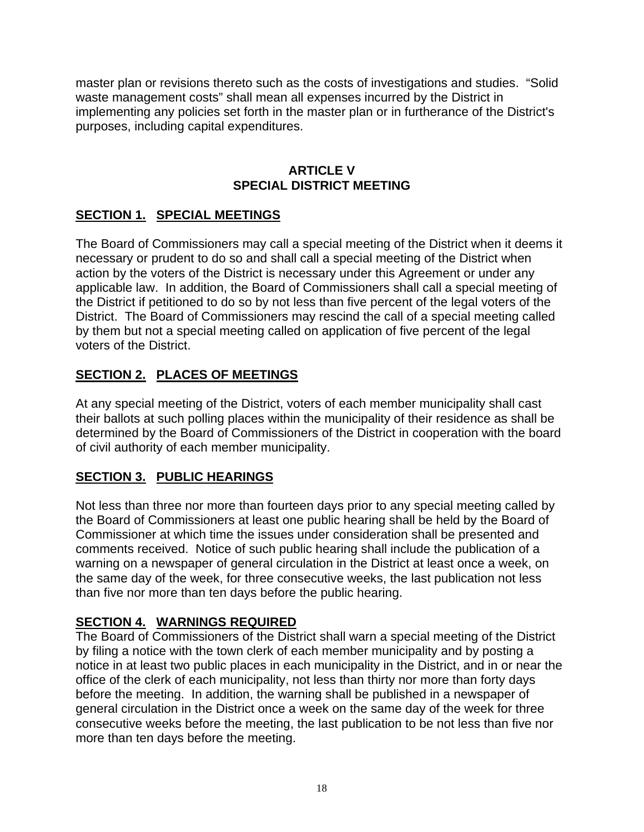master plan or revisions thereto such as the costs of investigations and studies. "Solid waste management costs" shall mean all expenses incurred by the District in implementing any policies set forth in the master plan or in furtherance of the District's purposes, including capital expenditures.

#### **ARTICLE V SPECIAL DISTRICT MEETING**

# **SECTION 1. SPECIAL MEETINGS**

The Board of Commissioners may call a special meeting of the District when it deems it necessary or prudent to do so and shall call a special meeting of the District when action by the voters of the District is necessary under this Agreement or under any applicable law. In addition, the Board of Commissioners shall call a special meeting of the District if petitioned to do so by not less than five percent of the legal voters of the District. The Board of Commissioners may rescind the call of a special meeting called by them but not a special meeting called on application of five percent of the legal voters of the District.

# **SECTION 2. PLACES OF MEETINGS**

At any special meeting of the District, voters of each member municipality shall cast their ballots at such polling places within the municipality of their residence as shall be determined by the Board of Commissioners of the District in cooperation with the board of civil authority of each member municipality.

#### **SECTION 3. PUBLIC HEARINGS**

Not less than three nor more than fourteen days prior to any special meeting called by the Board of Commissioners at least one public hearing shall be held by the Board of Commissioner at which time the issues under consideration shall be presented and comments received. Notice of such public hearing shall include the publication of a warning on a newspaper of general circulation in the District at least once a week, on the same day of the week, for three consecutive weeks, the last publication not less than five nor more than ten days before the public hearing.

#### **SECTION 4. WARNINGS REQUIRED**

The Board of Commissioners of the District shall warn a special meeting of the District by filing a notice with the town clerk of each member municipality and by posting a notice in at least two public places in each municipality in the District, and in or near the office of the clerk of each municipality, not less than thirty nor more than forty days before the meeting. In addition, the warning shall be published in a newspaper of general circulation in the District once a week on the same day of the week for three consecutive weeks before the meeting, the last publication to be not less than five nor more than ten days before the meeting.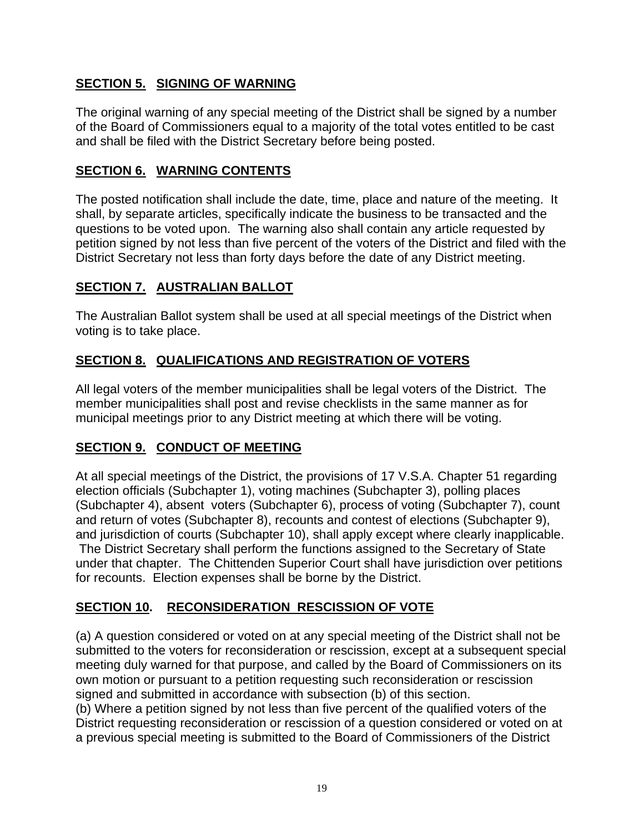# **SECTION 5. SIGNING OF WARNING**

The original warning of any special meeting of the District shall be signed by a number of the Board of Commissioners equal to a majority of the total votes entitled to be cast and shall be filed with the District Secretary before being posted.

#### **SECTION 6. WARNING CONTENTS**

The posted notification shall include the date, time, place and nature of the meeting. It shall, by separate articles, specifically indicate the business to be transacted and the questions to be voted upon. The warning also shall contain any article requested by petition signed by not less than five percent of the voters of the District and filed with the District Secretary not less than forty days before the date of any District meeting.

#### **SECTION 7. AUSTRALIAN BALLOT**

The Australian Ballot system shall be used at all special meetings of the District when voting is to take place.

#### **SECTION 8. QUALIFICATIONS AND REGISTRATION OF VOTERS**

All legal voters of the member municipalities shall be legal voters of the District. The member municipalities shall post and revise checklists in the same manner as for municipal meetings prior to any District meeting at which there will be voting.

# **SECTION 9. CONDUCT OF MEETING**

At all special meetings of the District, the provisions of 17 V.S.A. Chapter 51 regarding election officials (Subchapter 1), voting machines (Subchapter 3), polling places (Subchapter 4), absent voters (Subchapter 6), process of voting (Subchapter 7), count and return of votes (Subchapter 8), recounts and contest of elections (Subchapter 9), and jurisdiction of courts (Subchapter 10), shall apply except where clearly inapplicable. The District Secretary shall perform the functions assigned to the Secretary of State under that chapter. The Chittenden Superior Court shall have jurisdiction over petitions for recounts. Election expenses shall be borne by the District.

#### **SECTION 10. RECONSIDERATION RESCISSION OF VOTE**

(a) A question considered or voted on at any special meeting of the District shall not be submitted to the voters for reconsideration or rescission, except at a subsequent special meeting duly warned for that purpose, and called by the Board of Commissioners on its own motion or pursuant to a petition requesting such reconsideration or rescission signed and submitted in accordance with subsection (b) of this section.

(b) Where a petition signed by not less than five percent of the qualified voters of the District requesting reconsideration or rescission of a question considered or voted on at a previous special meeting is submitted to the Board of Commissioners of the District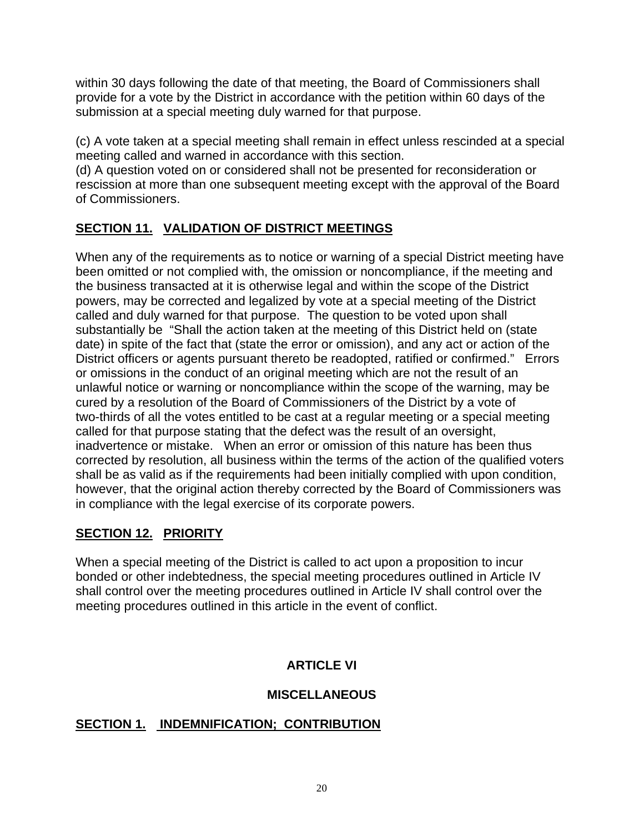within 30 days following the date of that meeting, the Board of Commissioners shall provide for a vote by the District in accordance with the petition within 60 days of the submission at a special meeting duly warned for that purpose.

(c) A vote taken at a special meeting shall remain in effect unless rescinded at a special meeting called and warned in accordance with this section.

(d) A question voted on or considered shall not be presented for reconsideration or rescission at more than one subsequent meeting except with the approval of the Board of Commissioners.

# **SECTION 11. VALIDATION OF DISTRICT MEETINGS**

When any of the requirements as to notice or warning of a special District meeting have been omitted or not complied with, the omission or noncompliance, if the meeting and the business transacted at it is otherwise legal and within the scope of the District powers, may be corrected and legalized by vote at a special meeting of the District called and duly warned for that purpose. The question to be voted upon shall substantially be "Shall the action taken at the meeting of this District held on (state date) in spite of the fact that (state the error or omission), and any act or action of the District officers or agents pursuant thereto be readopted, ratified or confirmed." Errors or omissions in the conduct of an original meeting which are not the result of an unlawful notice or warning or noncompliance within the scope of the warning, may be cured by a resolution of the Board of Commissioners of the District by a vote of two-thirds of all the votes entitled to be cast at a regular meeting or a special meeting called for that purpose stating that the defect was the result of an oversight, inadvertence or mistake. When an error or omission of this nature has been thus corrected by resolution, all business within the terms of the action of the qualified voters shall be as valid as if the requirements had been initially complied with upon condition, however, that the original action thereby corrected by the Board of Commissioners was in compliance with the legal exercise of its corporate powers.

# **SECTION 12. PRIORITY**

When a special meeting of the District is called to act upon a proposition to incur bonded or other indebtedness, the special meeting procedures outlined in Article IV shall control over the meeting procedures outlined in Article IV shall control over the meeting procedures outlined in this article in the event of conflict.

# **ARTICLE VI**

# **MISCELLANEOUS**

# **SECTION 1. INDEMNIFICATION; CONTRIBUTION**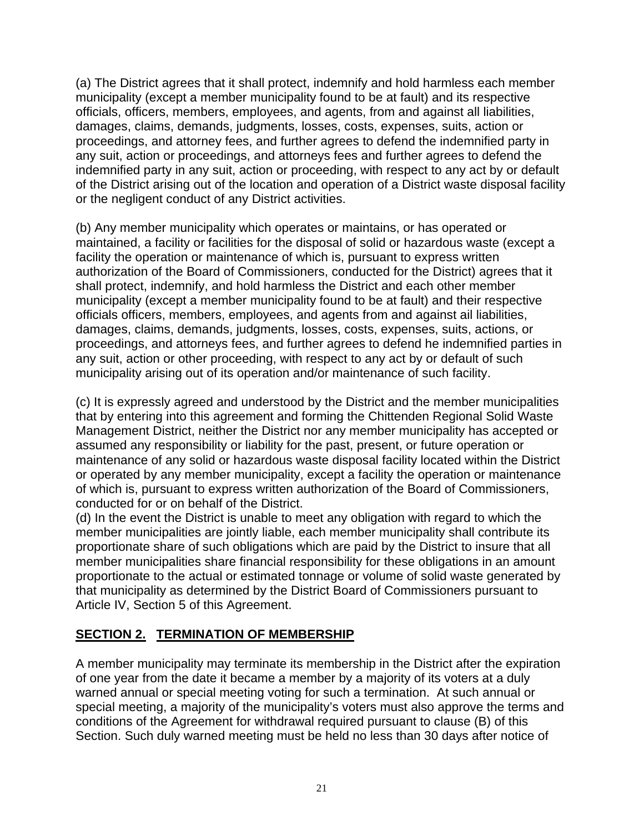(a) The District agrees that it shall protect, indemnify and hold harmless each member municipality (except a member municipality found to be at fault) and its respective officials, officers, members, employees, and agents, from and against all liabilities, damages, claims, demands, judgments, losses, costs, expenses, suits, action or proceedings, and attorney fees, and further agrees to defend the indemnified party in any suit, action or proceedings, and attorneys fees and further agrees to defend the indemnified party in any suit, action or proceeding, with respect to any act by or default of the District arising out of the location and operation of a District waste disposal facility or the negligent conduct of any District activities.

(b) Any member municipality which operates or maintains, or has operated or maintained, a facility or facilities for the disposal of solid or hazardous waste (except a facility the operation or maintenance of which is, pursuant to express written authorization of the Board of Commissioners, conducted for the District) agrees that it shall protect, indemnify, and hold harmless the District and each other member municipality (except a member municipality found to be at fault) and their respective officials officers, members, employees, and agents from and against ail liabilities, damages, claims, demands, judgments, losses, costs, expenses, suits, actions, or proceedings, and attorneys fees, and further agrees to defend he indemnified parties in any suit, action or other proceeding, with respect to any act by or default of such municipality arising out of its operation and/or maintenance of such facility.

(c) It is expressly agreed and understood by the District and the member municipalities that by entering into this agreement and forming the Chittenden Regional Solid Waste Management District, neither the District nor any member municipality has accepted or assumed any responsibility or liability for the past, present, or future operation or maintenance of any solid or hazardous waste disposal facility located within the District or operated by any member municipality, except a facility the operation or maintenance of which is, pursuant to express written authorization of the Board of Commissioners, conducted for or on behalf of the District.

(d) In the event the District is unable to meet any obligation with regard to which the member municipalities are jointly liable, each member municipality shall contribute its proportionate share of such obligations which are paid by the District to insure that all member municipalities share financial responsibility for these obligations in an amount proportionate to the actual or estimated tonnage or volume of solid waste generated by that municipality as determined by the District Board of Commissioners pursuant to Article IV, Section 5 of this Agreement.

# **SECTION 2. TERMINATION OF MEMBERSHIP**

A member municipality may terminate its membership in the District after the expiration of one year from the date it became a member by a majority of its voters at a duly warned annual or special meeting voting for such a termination. At such annual or special meeting, a majority of the municipality's voters must also approve the terms and conditions of the Agreement for withdrawal required pursuant to clause (B) of this Section. Such duly warned meeting must be held no less than 30 days after notice of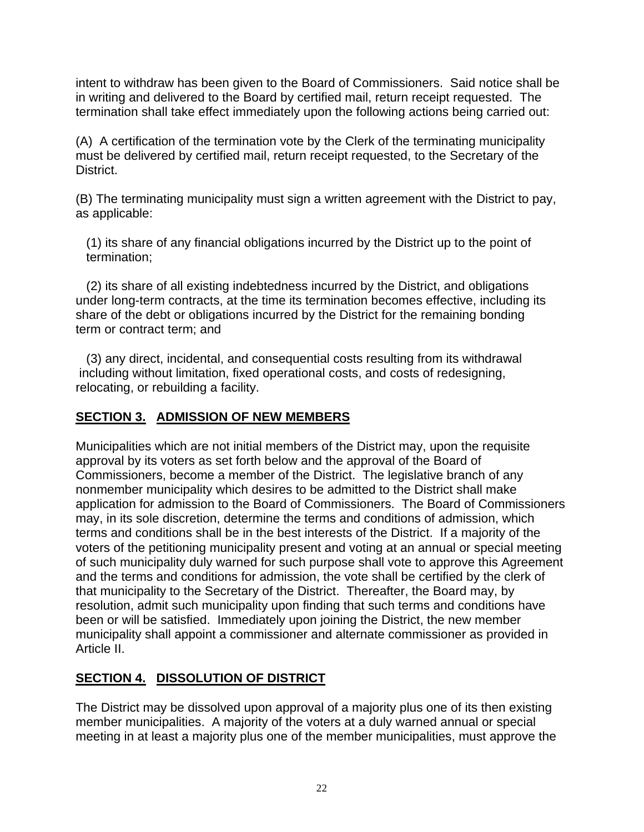intent to withdraw has been given to the Board of Commissioners. Said notice shall be in writing and delivered to the Board by certified mail, return receipt requested. The termination shall take effect immediately upon the following actions being carried out:

(A) A certification of the termination vote by the Clerk of the terminating municipality must be delivered by certified mail, return receipt requested, to the Secretary of the District.

(B) The terminating municipality must sign a written agreement with the District to pay, as applicable:

 (1) its share of any financial obligations incurred by the District up to the point of termination;

 (2) its share of all existing indebtedness incurred by the District, and obligations under long-term contracts, at the time its termination becomes effective, including its share of the debt or obligations incurred by the District for the remaining bonding term or contract term; and

 (3) any direct, incidental, and consequential costs resulting from its withdrawal including without limitation, fixed operational costs, and costs of redesigning, relocating, or rebuilding a facility.

#### **SECTION 3. ADMISSION OF NEW MEMBERS**

Municipalities which are not initial members of the District may, upon the requisite approval by its voters as set forth below and the approval of the Board of Commissioners, become a member of the District. The legislative branch of any nonmember municipality which desires to be admitted to the District shall make application for admission to the Board of Commissioners. The Board of Commissioners may, in its sole discretion, determine the terms and conditions of admission, which terms and conditions shall be in the best interests of the District. If a majority of the voters of the petitioning municipality present and voting at an annual or special meeting of such municipality duly warned for such purpose shall vote to approve this Agreement and the terms and conditions for admission, the vote shall be certified by the clerk of that municipality to the Secretary of the District. Thereafter, the Board may, by resolution, admit such municipality upon finding that such terms and conditions have been or will be satisfied. Immediately upon joining the District, the new member municipality shall appoint a commissioner and alternate commissioner as provided in Article II.

# **SECTION 4. DISSOLUTION OF DISTRICT**

The District may be dissolved upon approval of a majority plus one of its then existing member municipalities. A majority of the voters at a duly warned annual or special meeting in at least a majority plus one of the member municipalities, must approve the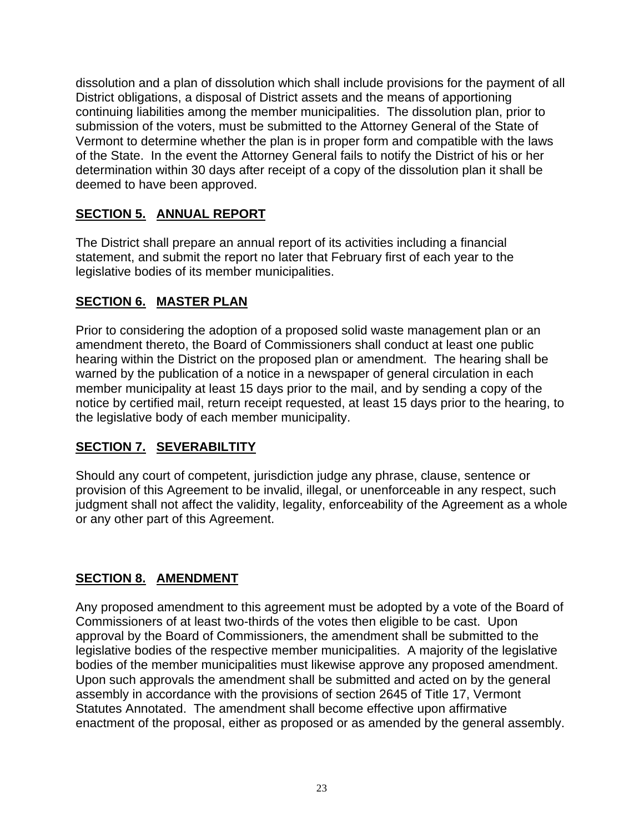dissolution and a plan of dissolution which shall include provisions for the payment of all District obligations, a disposal of District assets and the means of apportioning continuing liabilities among the member municipalities. The dissolution plan, prior to submission of the voters, must be submitted to the Attorney General of the State of Vermont to determine whether the plan is in proper form and compatible with the laws of the State. In the event the Attorney General fails to notify the District of his or her determination within 30 days after receipt of a copy of the dissolution plan it shall be deemed to have been approved.

#### **SECTION 5. ANNUAL REPORT**

The District shall prepare an annual report of its activities including a financial statement, and submit the report no later that February first of each year to the legislative bodies of its member municipalities.

#### **SECTION 6. MASTER PLAN**

Prior to considering the adoption of a proposed solid waste management plan or an amendment thereto, the Board of Commissioners shall conduct at least one public hearing within the District on the proposed plan or amendment. The hearing shall be warned by the publication of a notice in a newspaper of general circulation in each member municipality at least 15 days prior to the mail, and by sending a copy of the notice by certified mail, return receipt requested, at least 15 days prior to the hearing, to the legislative body of each member municipality.

# **SECTION 7. SEVERABILTITY**

Should any court of competent, jurisdiction judge any phrase, clause, sentence or provision of this Agreement to be invalid, illegal, or unenforceable in any respect, such judgment shall not affect the validity, legality, enforceability of the Agreement as a whole or any other part of this Agreement.

# **SECTION 8. AMENDMENT**

Any proposed amendment to this agreement must be adopted by a vote of the Board of Commissioners of at least two-thirds of the votes then eligible to be cast. Upon approval by the Board of Commissioners, the amendment shall be submitted to the legislative bodies of the respective member municipalities. A majority of the legislative bodies of the member municipalities must likewise approve any proposed amendment. Upon such approvals the amendment shall be submitted and acted on by the general assembly in accordance with the provisions of section 2645 of Title 17, Vermont Statutes Annotated. The amendment shall become effective upon affirmative enactment of the proposal, either as proposed or as amended by the general assembly.